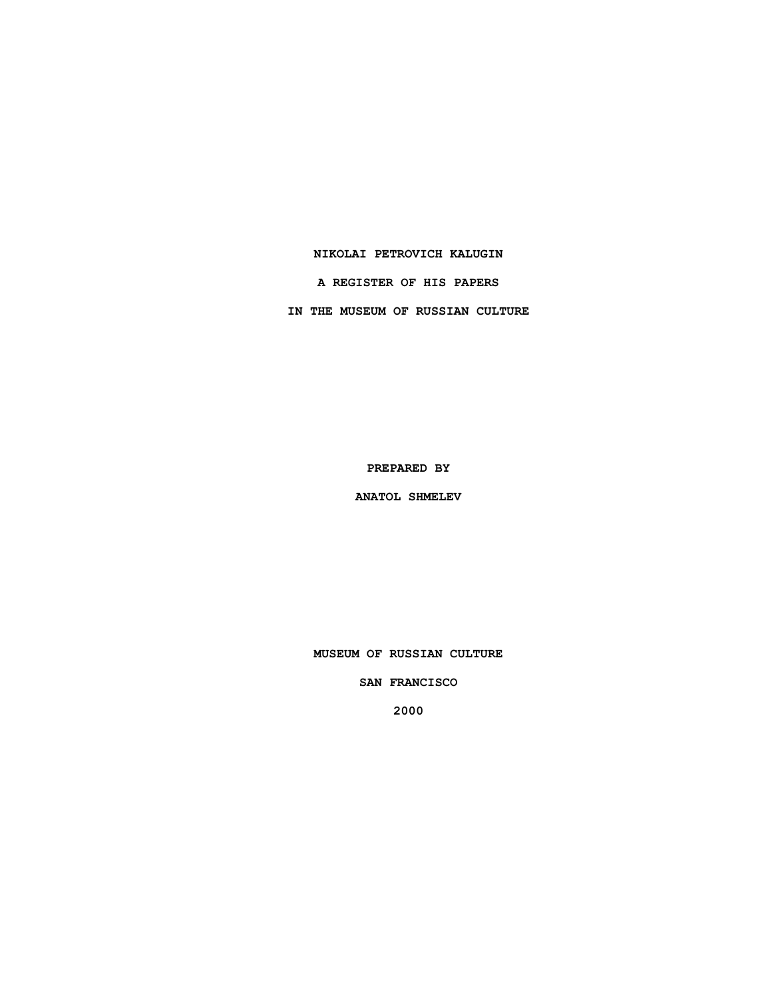### **NIKOLAI PETROVICH KALUGIN**

**A REGISTER OF HIS PAPERS**

**IN THE MUSEUM OF RUSSIAN CULTURE**

**PREPARED BY**

**ANATOL SHMELEV**

**MUSEUM OF RUSSIAN CULTURE**

**SAN FRANCISCO**

**2000**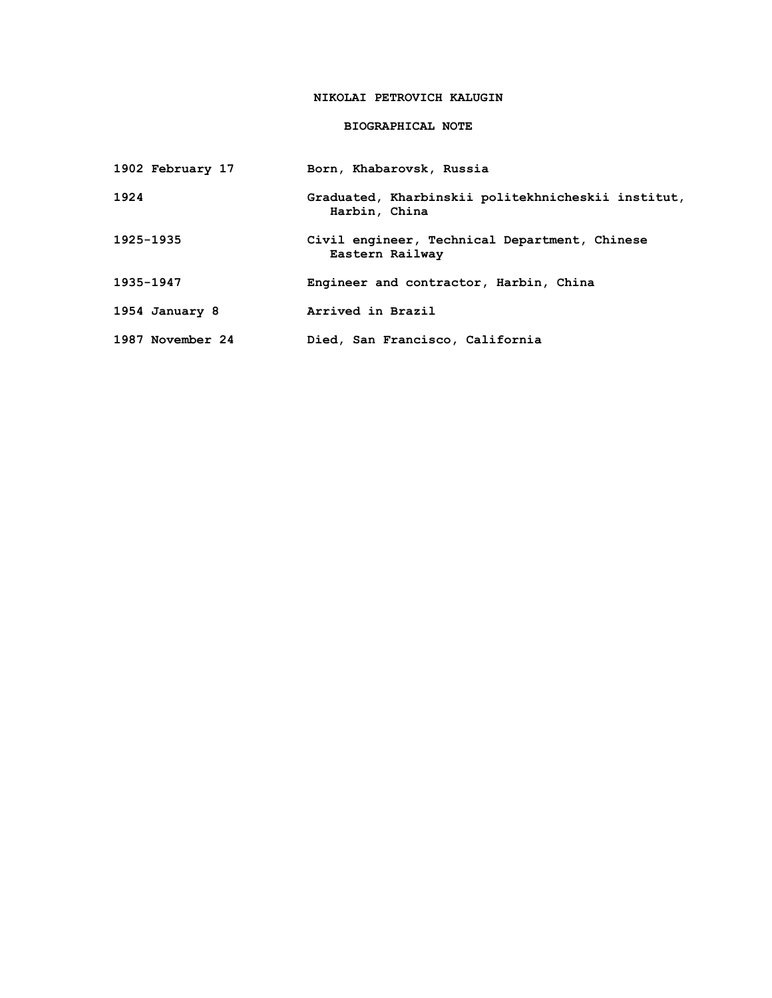# **NIKOLAI PETROVICH KALUGIN**

## **BIOGRAPHICAL NOTE**

| 1902 February 17 | Born, Khabarovsk, Russia                                            |
|------------------|---------------------------------------------------------------------|
| 1924             | Graduated, Kharbinskii politekhnicheskii institut,<br>Harbin, China |
| 1925-1935        | Civil engineer, Technical Department, Chinese<br>Eastern Railway    |
| 1935-1947        | Engineer and contractor, Harbin, China                              |
| 1954 January 8   | Arrived in Brazil                                                   |
| 1987 November 24 | Died, San Francisco, California                                     |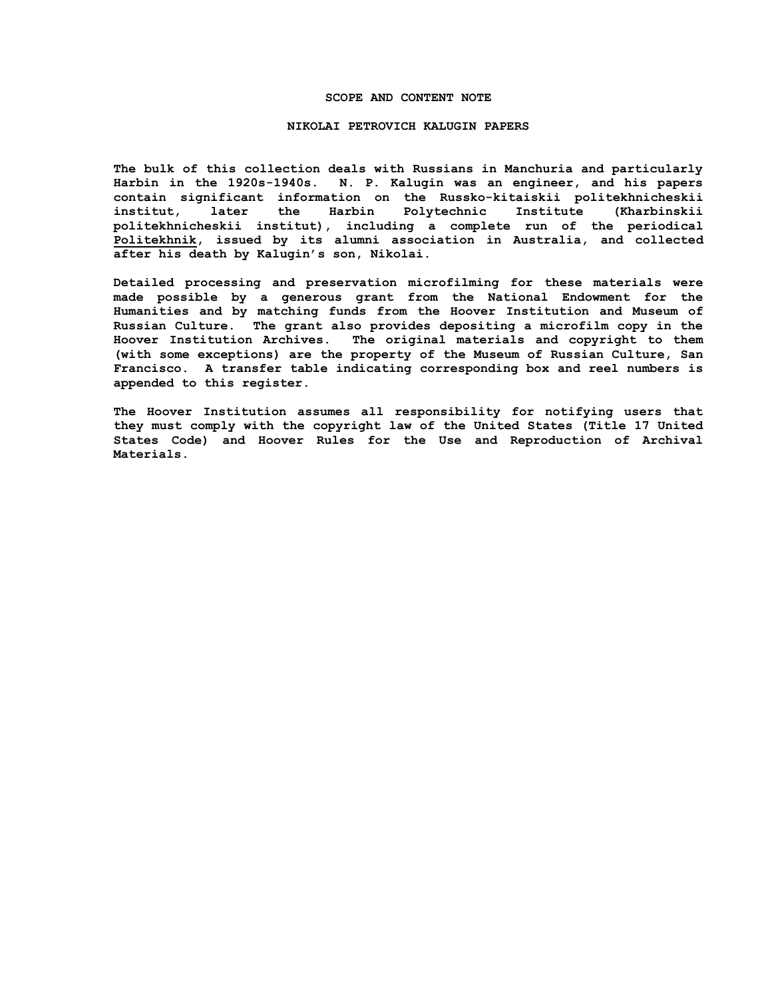### **SCOPE AND CONTENT NOTE**

#### **NIKOLAI PETROVICH KALUGIN PAPERS**

**The bulk of this collection deals with Russians in Manchuria and particularly Harbin in the 1920s-1940s. N. P. Kalugin was an engineer, and his papers contain significant information on the Russko-kitaiskii politekhnicheskii institut, later the Harbin Polytechnic Institute (Kharbinskii politekhnicheskii institut), including a complete run of the periodical Politekhnik, issued by its alumni association in Australia, and collected after his death by Kalugin's son, Nikolai.**

**Detailed processing and preservation microfilming for these materials were made possible by a generous grant from the National Endowment for the Humanities and by matching funds from the Hoover Institution and Museum of Russian Culture. The grant also provides depositing a microfilm copy in the Hoover Institution Archives. The original materials and copyright to them (with some exceptions) are the property of the Museum of Russian Culture, San Francisco. A transfer table indicating corresponding box and reel numbers is appended to this register.**

**The Hoover Institution assumes all responsibility for notifying users that they must comply with the copyright law of the United States (Title 17 United States Code) and Hoover Rules for the Use and Reproduction of Archival Materials.**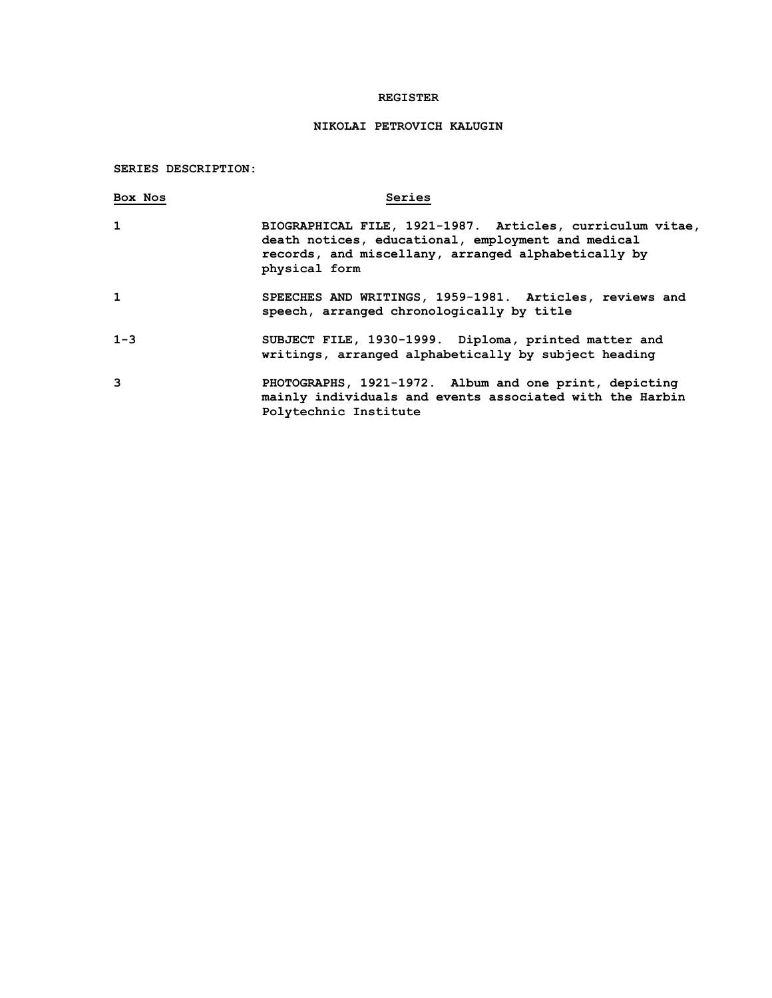### **REGISTER**

## **NIKOLAI PETROVICH KALUGIN**

# **SERIES DESCRIPTION:**

| Box Nos      | Series                                                                                                                                                                                  |
|--------------|-----------------------------------------------------------------------------------------------------------------------------------------------------------------------------------------|
| $\mathbf{1}$ | BIOGRAPHICAL FILE, 1921-1987. Articles, curriculum vitae,<br>death notices, educational, employment and medical<br>records, and miscellany, arranged alphabetically by<br>physical form |
| $\mathbf{1}$ | SPEECHES AND WRITINGS, 1959-1981. Articles, reviews and<br>speech, arranged chronologically by title                                                                                    |
| $1 - 3$      | SUBJECT FILE, 1930-1999. Diploma, printed matter and<br>writings, arranged alphabetically by subject heading                                                                            |
| 3            | PHOTOGRAPHS, 1921-1972. Album and one print, depicting<br>mainly individuals and events associated with the Harbin<br>Polytechnic Institute                                             |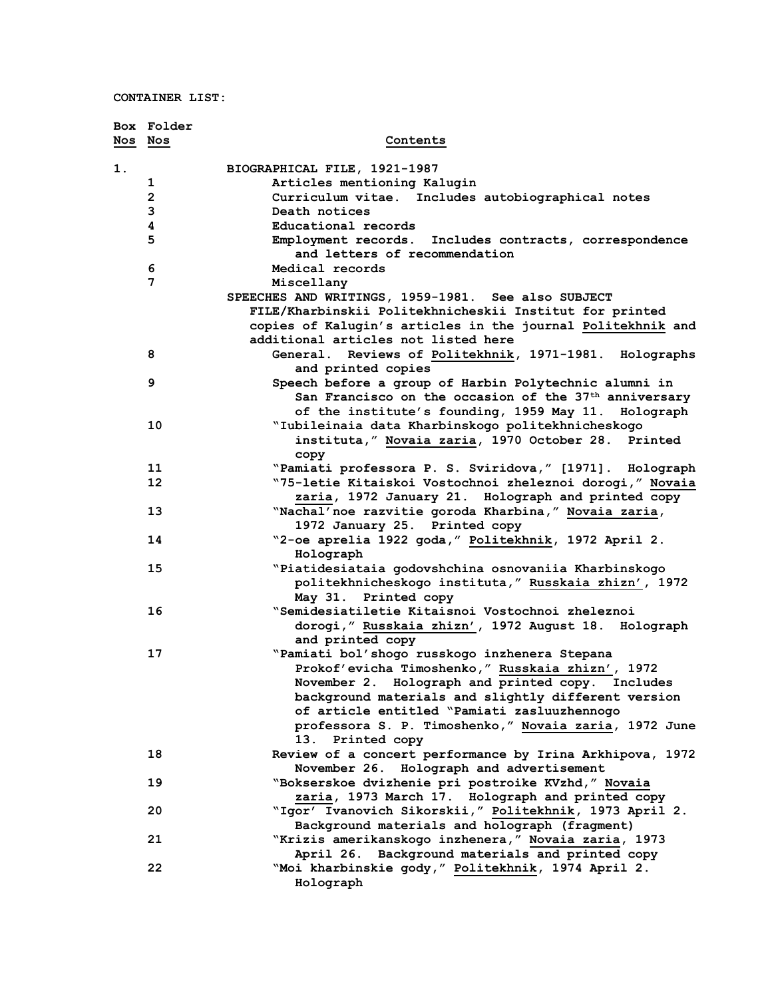**CONTAINER LIST:**

|         | Box Folder              |                                                                                         |
|---------|-------------------------|-----------------------------------------------------------------------------------------|
| Nos Nos |                         | Contents                                                                                |
|         |                         |                                                                                         |
| 1.      |                         | BIOGRAPHICAL FILE, 1921-1987                                                            |
|         | 1                       | Articles mentioning Kalugin                                                             |
|         | $\overline{\mathbf{2}}$ | Curriculum vitae.<br>Includes autobiographical notes                                    |
|         | 3                       | Death notices                                                                           |
|         | 4                       | Educational records                                                                     |
|         | 5                       | Employment records. Includes contracts, correspondence<br>and letters of recommendation |
|         | 6                       | Medical records                                                                         |
|         | 7                       | Miscellany                                                                              |
|         |                         | SPEECHES AND WRITINGS, 1959-1981. See also SUBJECT                                      |
|         |                         | FILE/Kharbinskii Politekhnicheskii Institut for printed                                 |
|         |                         | copies of Kalugin's articles in the journal Politekhnik and                             |
|         |                         | additional articles not listed here                                                     |
|         | 8                       | General. Reviews of Politekhnik, 1971-1981. Holographs                                  |
|         |                         | and printed copies                                                                      |
|         | 9                       | Speech before a group of Harbin Polytechnic alumni in                                   |
|         |                         | San Francisco on the occasion of the 37 <sup>th</sup> anniversary                       |
|         |                         | of the institute's founding, 1959 May 11. Holograph                                     |
|         | 10                      | "Iubileinaia data Kharbinskogo politekhnicheskogo                                       |
|         |                         | instituta," Novaia zaria, 1970 October 28. Printed                                      |
|         | 11                      | copy<br>"Pamiati professora P. S. Sviridova," [1971]. Holograph                         |
|         | 12                      | "75-letie Kitaiskoi Vostochnoi zheleznoi dorogi, " Novaia                               |
|         |                         | zaria, 1972 January 21. Holograph and printed copy                                      |
|         | 13                      | "Nachal' noe razvitie goroda Kharbina, " Novaia zaria,                                  |
|         |                         | 1972 January 25. Printed copy                                                           |
|         | 14                      | "2-oe aprelia 1922 goda, " Politekhnik, 1972 April 2.                                   |
|         |                         | Holograph                                                                               |
|         | 15                      | "Piatidesiataia godovshchina osnovaniia Kharbinskogo                                    |
|         |                         | politekhnicheskogo instituta," Russkaia zhizn', 1972                                    |
|         |                         | May 31. Printed copy                                                                    |
|         | 16                      | "Semidesiatiletie Kitaisnoi Vostochnoi zheleznoi                                        |
|         |                         | dorogi," Russkaia zhizn', 1972 August 18. Holograph                                     |
|         |                         | and printed copy                                                                        |
|         | 17                      | "Pamiati bol'shogo russkogo inzhenera Stepana                                           |
|         |                         | Prokof'evicha Timoshenko," Russkaia zhizn', 1972                                        |
|         |                         | November 2. Holograph and printed copy. Includes                                        |
|         |                         | background materials and slightly different version                                     |
|         |                         | of article entitled "Pamiati zasluuzhennogo                                             |
|         |                         | professora S. P. Timoshenko," Novaia zaria, 1972 June                                   |
|         |                         | 13. Printed copy                                                                        |
|         | 18                      | Review of a concert performance by Irina Arkhipova, 1972                                |
|         |                         | November 26. Holograph and advertisement                                                |
|         | 19                      | "Bokserskoe dvizhenie pri postroike KVzhd," Novaia                                      |
|         |                         | zaria, 1973 March 17. Holograph and printed copy                                        |
|         | 20                      | "Igor' Ivanovich Sikorskii," Politekhnik, 1973 April 2.                                 |
|         |                         | Background materials and holograph (fragment)                                           |
|         | 21                      | "Krizis amerikanskogo inzhenera," Novaia zaria, 1973                                    |
|         |                         | April 26. Background materials and printed copy                                         |
|         | 22                      | "Moi kharbinskie gody," Politekhnik, 1974 April 2.                                      |
|         |                         | Holograph                                                                               |